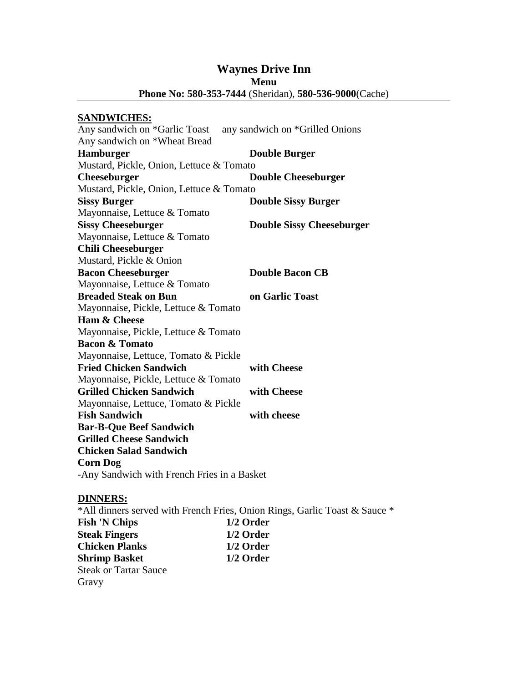## **Waynes Drive Inn Menu Phone No: 580-353-7444** (Sheridan), **580-536-9000**(Cache)

### **SANDWICHES:**

| Any sandwich on *Garlic Toast                                              | any sandwich on *Grilled Onions  |
|----------------------------------------------------------------------------|----------------------------------|
| Any sandwich on *Wheat Bread                                               |                                  |
| Hamburger                                                                  | <b>Double Burger</b>             |
| Mustard, Pickle, Onion, Lettuce & Tomato                                   |                                  |
| <b>Cheeseburger</b>                                                        | <b>Double Cheeseburger</b>       |
| Mustard, Pickle, Onion, Lettuce & Tomato                                   |                                  |
| <b>Sissy Burger</b>                                                        | <b>Double Sissy Burger</b>       |
| Mayonnaise, Lettuce & Tomato                                               |                                  |
| <b>Sissy Cheeseburger</b>                                                  | <b>Double Sissy Cheeseburger</b> |
| Mayonnaise, Lettuce & Tomato                                               |                                  |
| <b>Chili Cheeseburger</b>                                                  |                                  |
| Mustard, Pickle & Onion                                                    |                                  |
| <b>Bacon Cheeseburger</b>                                                  | <b>Double Bacon CB</b>           |
| Mayonnaise, Lettuce & Tomato                                               |                                  |
| <b>Breaded Steak on Bun</b>                                                | on Garlic Toast                  |
| Mayonnaise, Pickle, Lettuce & Tomato                                       |                                  |
| Ham & Cheese                                                               |                                  |
| Mayonnaise, Pickle, Lettuce & Tomato                                       |                                  |
| <b>Bacon &amp; Tomato</b>                                                  |                                  |
| Mayonnaise, Lettuce, Tomato & Pickle                                       |                                  |
| <b>Fried Chicken Sandwich</b>                                              | with Cheese                      |
| Mayonnaise, Pickle, Lettuce & Tomato                                       |                                  |
| <b>Grilled Chicken Sandwich</b>                                            | with Cheese                      |
| Mayonnaise, Lettuce, Tomato & Pickle                                       |                                  |
| <b>Fish Sandwich</b>                                                       | with cheese                      |
| <b>Bar-B-Que Beef Sandwich</b>                                             |                                  |
| <b>Grilled Cheese Sandwich</b>                                             |                                  |
| <b>Chicken Salad Sandwich</b>                                              |                                  |
| <b>Corn Dog</b>                                                            |                                  |
| -Any Sandwich with French Fries in a Basket                                |                                  |
| <u> DINNERS:</u>                                                           |                                  |
| *All dinners served with French Fries, Onion Rings, Garlic Toast & Sauce * |                                  |
| Fish 'N Chins                                                              | 1/2 Order                        |

**Fish 'N Chips 1/2 Order Steak Fingers 1/2 Order Chicken Planks 1/2 Order**<br>**Shrimp Basket 1/2 Order Shrimp Basket** Steak or Tartar Sauce Gravy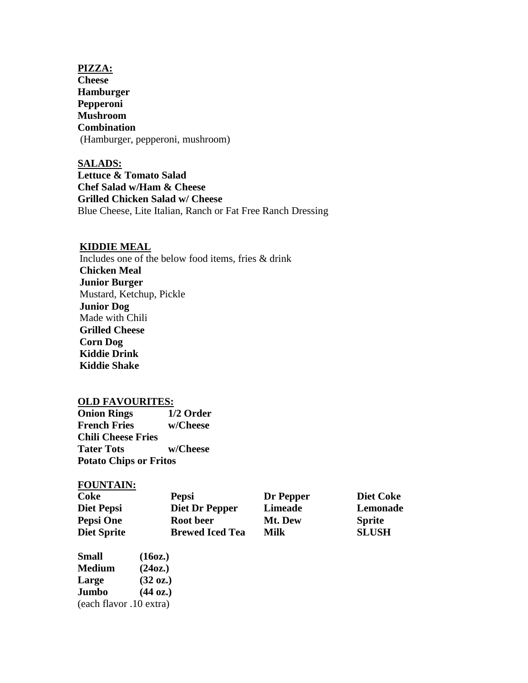**PIZZA: Cheese Hamburger Pepperoni Mushroom Combination** (Hamburger, pepperoni, mushroom)

**SALADS: Lettuce & Tomato Salad Chef Salad w/Ham & Cheese Grilled Chicken Salad w/ Cheese** Blue Cheese, Lite Italian, Ranch or Fat Free Ranch Dressing

#### **KIDDIE MEAL**

Includes one of the below food items, fries & drink **Chicken Meal Junior Burger** Mustard, Ketchup, Pickle **Junior Dog**  Made with Chili **Grilled Cheese Corn Dog Kiddie Drink Kiddie Shake**

#### **OLD FAVOURITES:**

**Onion Rings 1/2 Order French Fries w/Cheese Chili Cheese Fries Tater Tots w/Cheese Potato Chips or Fritos**

#### **FOUNTAIN:**

| Coke                    | <b>Pepsi</b>           | Dr Pepper      | <b>Diet Coke</b> |
|-------------------------|------------------------|----------------|------------------|
| Diet Pepsi              | <b>Diet Dr Pepper</b>  | <b>Limeade</b> | Lemonade         |
| Pepsi One               | Root beer              | Mt. Dew        | <b>Sprite</b>    |
| <b>Diet Sprite</b>      | <b>Brewed Iced Tea</b> | Milk           | <b>SLUSH</b>     |
| <b>Small</b>            | (160z.)                |                |                  |
| Medium                  | (240z.)                |                |                  |
| Large                   | $(32 \text{ oz.})$     |                |                  |
| Jumbo                   | $(44 \text{ oz.})$     |                |                  |
| (each flavor .10 extra) |                        |                |                  |
|                         |                        |                |                  |